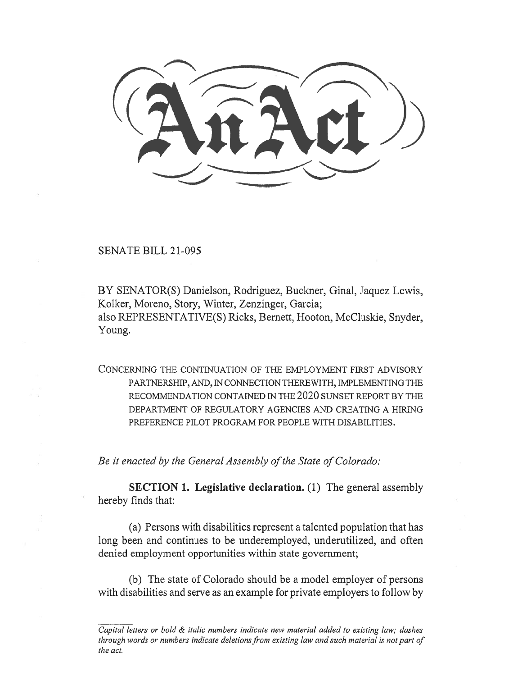SENATE BILL 21-095

BY SENATOR(S) Danielson, Rodriguez, Buckner, Ginal, Jaquez Lewis, Kolker, Moreno, Story, Winter, Zenzinger, Garcia; also REPRESENTATIVE(S) Ricks, Bernett, Hooton, McCluskie, Snyder, Young.

CONCERNING THE CONTINUATION OF THE EMPLOYMENT FIRST ADVISORY PARTNERSHIP, AND, IN CONNECTION THEREWITH, IMPLEMENTING THE RECOMMENDATION CONTAINED IN THE 2020 SUNSET REPORT BY THE DEPARTMENT OF REGULATORY AGENCIES AND CREATING A HIRING PREFERENCE PILOT PROGRAM FOR PEOPLE WITH DISABILITIES.

Be it enacted by the General Assembly of the State of Colorado:

SECTION 1. Legislative declaration. (1) The general assembly hereby finds that:

(a) Persons with disabilities represent a talented population that has long been and continues to be underemployed, underutilized, and often denied employment opportunities within state government;

(b) The state of Colorado should be a model employer of persons with disabilities and serve as an example for private employers to follow by

Capital letters or bold & italic numbers indicate new material added to existing law; dashes through words or numbers indicate deletions from existing law and such material is not part of the act.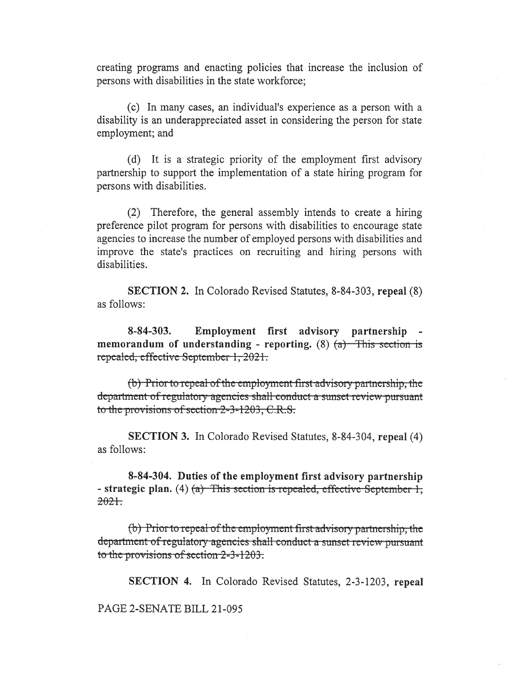creating programs and enacting policies that increase the inclusion of persons with disabilities in the state workforce;

(c) In many cases, an individual's experience as a person with a disability is an underappreciated asset in considering the person for state employment; and

(d) It is a strategic priority of the employment first advisory partnership to support the implementation of a state hiring program for persons with disabilities.

(2) Therefore, the general assembly intends to create a hiring preference pilot program for persons with disabilities to encourage state agencies to increase the number of employed persons with disabilities and improve the state's practices on recruiting and hiring persons with disabilities.

SECTION 2. In Colorado Revised Statutes, 8-84-303, repeal (8) as follows:

8-84-303. Employment first advisory partnership memorandum of understanding - reporting. (8)  $(a)$  This section is repealed, effective September 1, 2021.

 $(b)$  Prior to repeal of the employment-first-advisory-partnership, the department-of-regulatory-agencies-shall-conduct-a-sunset-review-pursuantto the provisions of section  $2-3-1203$ , C.R.S.

SECTION 3. In Colorado Revised Statutes, 8-84-304, repeal (4) as follows:

8-84-304. Duties of the employment first advisory partnership - strategic plan. (4)  $(a)$  This section is repealed, effective September 1,  $2021.$ 

 $(b)$ - Prior to repeal-of the employment-first-advisory partnership, the department-of-regulatory-agencies-shall-conduct-a-sunset-review-pursuantto the provisions of section  $2-3-1203$ .

SECTION 4. In Colorado Revised Statutes, 2-3-1203, repeal

PAGE 2-SENATE BILL 21-095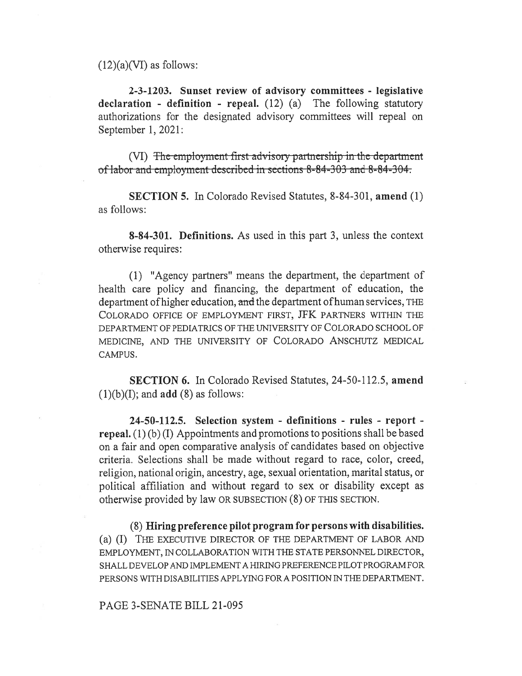$(12)(a)(VI)$  as follows:

2-3-1203. Sunset review of advisory committees - legislative declaration - definition - repeal. (12) (a) The following statutory authorizations for the designated advisory committees will repeal on September 1, 2021:

(VI) The employment first advisory partnership in the department of labor and employment described in sections 8-84-303 and 8-84-304.

SECTION 5. In Colorado Revised Statutes, 8-84-301, amend (1) as follows:

8-84-301. Definitions. As used in this part 3, unless the context otherwise requires:

(1) "Agency partners" means the department, the department of health care policy and financing, the department of education, the department of higher education, and the department of human services, THE COLORADO OFFICE OF EMPLOYMENT FIRST, JFK PARTNERS WITHIN THE DEPARTMENT OF PEDIATRICS OF THE UNIVERSITY OF COLORADO SCHOOL OF MEDICINE, AND THE UNIVERSITY OF COLORADO ANSCHUTZ MEDICAL CAMPUS.

SECTION 6. In Colorado Revised Statutes, 24-50-112.5, amend  $(1)(b)(I)$ ; and **add**  $(8)$  as follows:

24-50-112.5. Selection system - definitions - rules - report repeal.  $(1)$  (b) (I) Appointments and promotions to positions shall be based on a fair and open comparative analysis of candidates based on objective criteria. Selections shall be made without regard to race, color, creed, religion, national origin, ancestry, age, sexual orientation, marital status, or political affiliation and without regard to sex or disability except as otherwise provided by law OR SUBSECTION (8) OF THIS SECTION.

(8) Hiring preference pilot program for persons with disabilities. (a) (I) THE EXECUTIVE DIRECTOR OF THE DEPARTMENT OF LABOR AND EMPLOYMENT, IN COLLABORATION WITH THE STATE PERSONNEL DIRECTOR, SHALL DEVELOP AND IMPLEMENT A HIRING PREFERENCE PILOT PROGRAM FOR PERSONS WITH DISABILITIES APPLYING FOR A POSITION IN THE DEPARTMENT.

## PAGE 3-SENATE BILL 21-095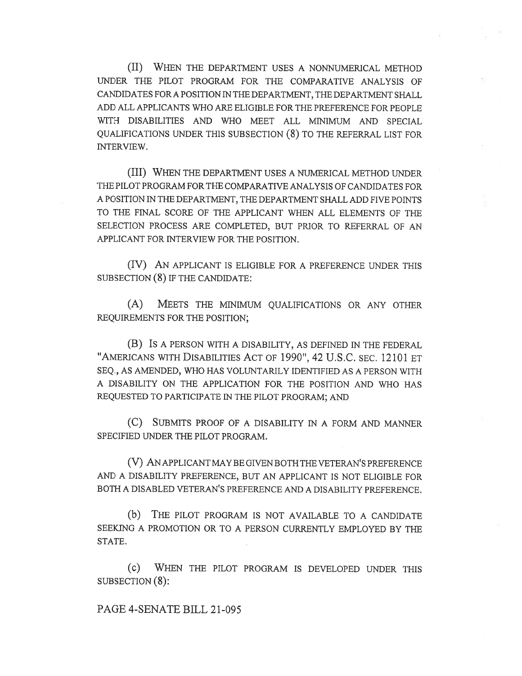(II) WHEN THE DEPARTMENT USES A NONNUMERICAL METHOD UNDER THE PILOT PROGRAM FOR THE COMPARATIVE ANALYSIS OF CANDIDATES FOR A POSITION IN THE DEPARTMENT, THE DEPARTMENT SHALL ADD ALL APPLICANTS WHO ARE ELIGIBLE FOR THE PREFERENCE FOR PEOPLE WITH DISABILITIES AND WHO MEET ALL MINIMUM AND SPECIAL QUALIFICATIONS UNDER THIS SUBSECTION (8) TO THE REFERRAL LIST FOR INTERVIEW.

(III) WHEN THE DEPARTMENT USES A NUMERICAL METHOD UNDER THE PILOT PROGRAM FOR THE COMPARATIVE ANALYSIS OF CANDIDATES FOR A POSITION IN THE DEPARTMENT, THE DEPARTMENT SHALL ADD FIVE POINTS TO THE FINAL SCORE OF THE APPLICANT WHEN ALL ELEMENTS OF THE SELECTION PROCESS ARE COMPLETED, BUT PRIOR TO REFERRAL OF AN APPLICANT FOR INTERVIEW FOR THE POSITION.

(IV) AN APPLICANT IS ELIGIBLE FOR A PREFERENCE UNDER THIS SUBSECTION (8) IF THE CANDIDATE:

(A) MEETS THE MINIMUM QUALIFICATIONS OR ANY OTHER REQUIREMENTS FOR THE POSITION;

(B) IS A PERSON WITH A DISABILITY, AS DEFINED IN THE FEDERAL "AMERICANS WITH DISABILITIES ACT OF 1990", 42 U.S.C. SEC. 12101 ET SEQ., AS AMENDED, WHO HAS VOLUNTARILY IDENTIFIED AS A PERSON WITH A DISABILITY ON THE APPLICATION FOR THE POSITION AND WHO HAS REQUESTED TO PARTICIPATE IN THE PILOT PROGRAM; AND

(C) SUBMITS PROOF OF A DISABILITY IN A FORM AND MANNER SPECIFIED UNDER THE PILOT PROGRAM.

(V) AN APPLICANT MAY BE GIVEN BOTH THE VETERAN'S PREFERENCE AND A DISABILITY PREFERENCE, BUT AN APPLICANT IS NOT ELIGIBLE FOR BOTH A DISABLED VETERAN'S PREFERENCE AND A DISABILITY PREFERENCE.

(b) THE PILOT PROGRAM IS NOT AVAILABLE TO A CANDIDATE SEEKING A PROMOTION OR TO A PERSON CURRENTLY EMPLOYED BY THE STATE.

(c) WHEN THE PILOT PROGRAM IS DEVELOPED UNDER THIS SUBSECTION (8):

## PAGE 4-SENATE BILL 21-095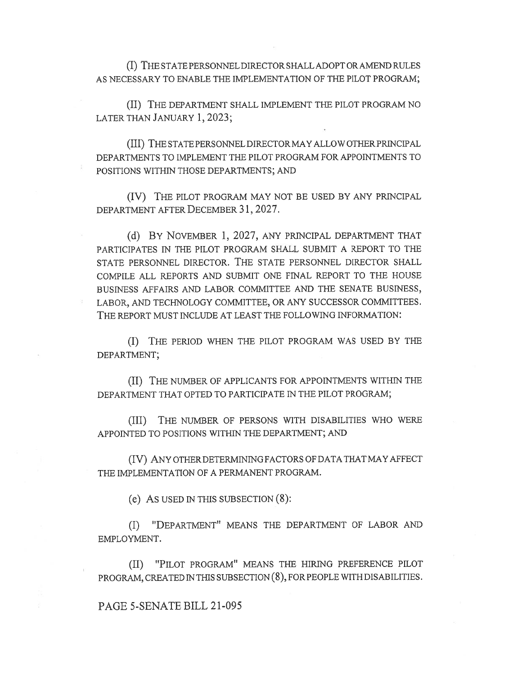(I) THE STATE PERSONNEL DIRECTOR SHALL ADOPT OR AMEND RULES AS NECESSARY TO ENABLE THE IMPLEMENTATION OF THE PILOT PROGRAM;

(II) THE DEPARTMENT SHALL IMPLEMENT THE PILOT PROGRAM NO LATER THAN JANUARY 1, 2023;

(III) THE STATE PERSONNEL DIRECTOR MAY ALLOW OTHER PRINCIPAL DEPARTMENTS TO IMPLEMENT THE PILOT PROGRAM FOR APPOINTMENTS TO POSITIONS WITHIN THOSE DEPARTMENTS; AND

(IV) THE PILOT PROGRAM MAY NOT BE USED BY ANY PRINCIPAL DEPARTMENT AFTER DECEMBER 31, 2027.

(d) BY NOVEMBER 1, 2027, ANY PRINCIPAL DEPARTMENT THAT PARTICIPATES IN THE PILOT PROGRAM SHALL SUBMIT A REPORT TO THE STATE PERSONNEL DIRECTOR. THE STATE PERSONNEL DIRECTOR SHALL COMPILE ALL REPORTS AND SUBMIT ONE FINAL REPORT TO THE HOUSE BUSINESS AFFAIRS AND LABOR COMMITTEE AND THE SENATE BUSINESS, LABOR, AND TECHNOLOGY COMMITTEE, OR ANY SUCCESSOR COMMITTEES. THE REPORT MUST INCLUDE AT LEAST THE FOLLOWING INFORMATION:

(I) THE PERIOD WHEN THE PILOT PROGRAM WAS USED BY THE DEPARTMENT;

(II) THE NUMBER OF APPLICANTS FOR APPOINTMENTS WITHIN THE DEPARTMENT THAT OPTED TO PARTICIPATE IN THE PILOT PROGRAM;

(III) THE NUMBER OF PERSONS WITH DISABILITIES WHO WERE APPOINTED TO POSITIONS WITHIN THE DEPARTMENT; AND

(IV) ANY OTHER DETERMINING FACTORS OF DATA THAT MAY AFFECT THE IMPLEMENTATION OF A PERMANENT PROGRAM.

(e) AS USED IN THIS SUBSECTION (8):

(I) "DEPARTMENT" MEANS THE DEPARTMENT OF LABOR AND EMPLOYMENT.

(II) "PILOT PROGRAM" MEANS THE HIRING PREFERENCE PILOT PROGRAM, CREATED IN THIS SUBSECTION (8), FOR PEOPLE WITH DISABILITIES.

## PAGE 5-SENATE BILL 21-095